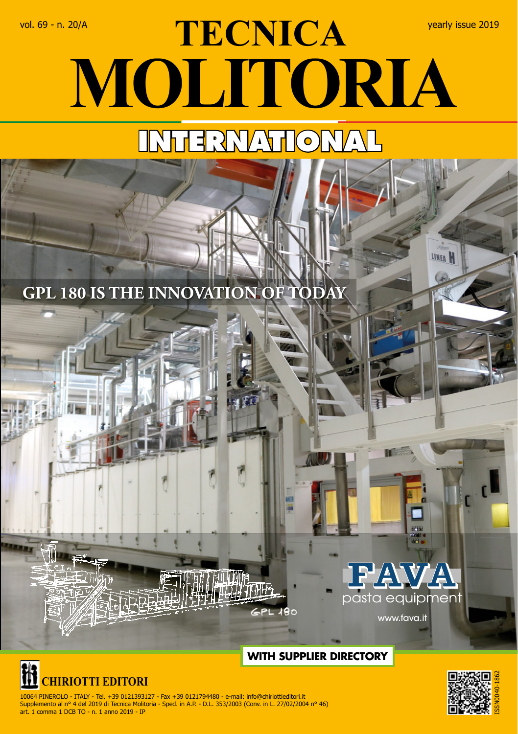## vol. 69 - n. 20/A **TECNICA** yearly issue 2019 **MOLITORIA INTERNATIONAL**

**GPL 180 IS THE INNOVATION OF TOD** 





 10064 PINEROLO - ITALY - Tel. +39 0121393127 - Fax +39 0121794480 - e-mail: info@chiriottieditori.it Supplemento al n° 4 del 2019 di Tecnica Molitoria - Sped. in A.P. - D.L. 353/2003 (Conv. in L. 27/02/2004 n° 46) art. 1 comma 1 DCB TO - n. 1 anno 2019 - IP



**LINEA** 

www.fava.it

## **WITH SUPPLIER DIRECTORY**

ō

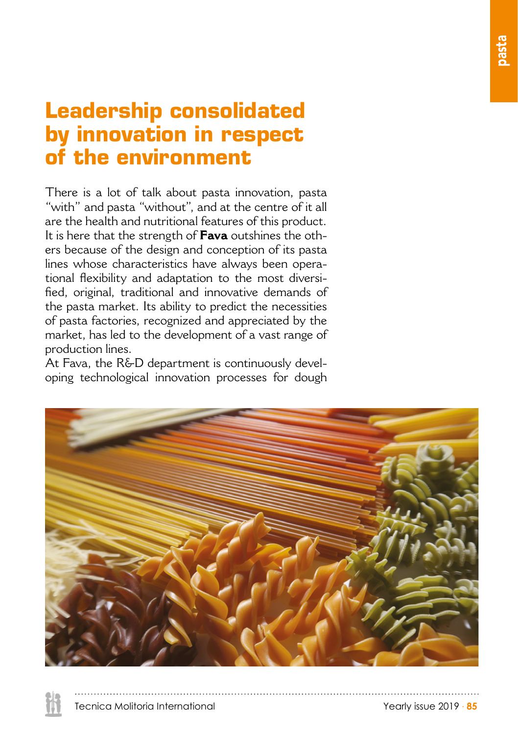## **Leadership consolidated by innovation in respect of the environment**

There is a lot of talk about pasta innovation, pasta "with" and pasta "without", and at the centre of it all are the health and nutritional features of this product. It is here that the strength of **Fava** outshines the others because of the design and conception of its pasta lines whose characteristics have always been operational flexibility and adaptation to the most diversified, original, traditional and innovative demands of the pasta market. Its ability to predict the necessities of pasta factories, recognized and appreciated by the market, has led to the development of a vast range of production lines.

At Fava, the R&D department is continuously developing technological innovation processes for dough

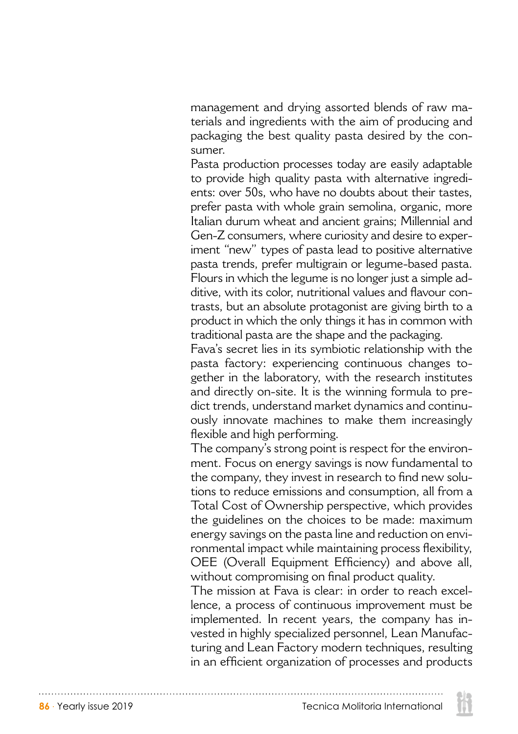management and drying assorted blends of raw materials and ingredients with the aim of producing and packaging the best quality pasta desired by the consumer.

Pasta production processes today are easily adaptable to provide high quality pasta with alternative ingredients: over 50s, who have no doubts about their tastes, prefer pasta with whole grain semolina, organic, more Italian durum wheat and ancient grains; Millennial and Gen-Z consumers, where curiosity and desire to experiment "new" types of pasta lead to positive alternative pasta trends, prefer multigrain or legume-based pasta. Flours in which the legume is no longer just a simple additive, with its color, nutritional values and flavour contrasts, but an absolute protagonist are giving birth to a product in which the only things it has in common with traditional pasta are the shape and the packaging.

Fava's secret lies in its symbiotic relationship with the pasta factory: experiencing continuous changes together in the laboratory, with the research institutes and directly on-site. It is the winning formula to predict trends, understand market dynamics and continuously innovate machines to make them increasingly flexible and high performing.

The company's strong point is respect for the environment. Focus on energy savings is now fundamental to the company, they invest in research to find new solutions to reduce emissions and consumption, all from a Total Cost of Ownership perspective, which provides the guidelines on the choices to be made: maximum energy savings on the pasta line and reduction on environmental impact while maintaining process flexibility, OEE (Overall Equipment Efficiency) and above all, without compromising on final product quality.

The mission at Fava is clear: in order to reach excellence, a process of continuous improvement must be implemented. In recent years, the company has invested in highly specialized personnel, Lean Manufacturing and Lean Factory modern techniques, resulting in an efficient organization of processes and products